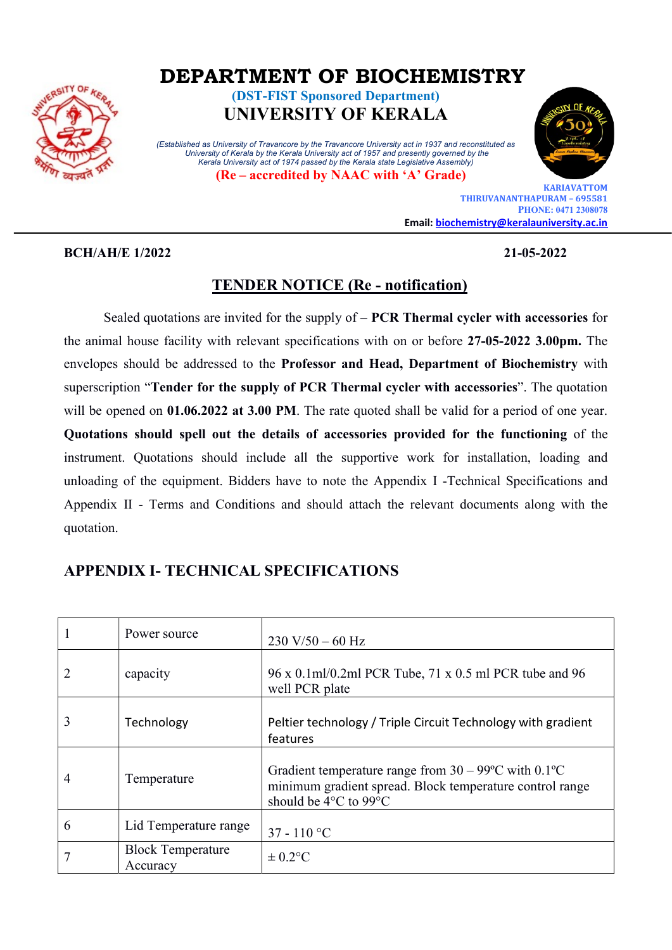

# DEPARTMENT OF BIOCHEMISTRY

(DST-FIST Sponsored Department) UNIVERSITY OF KERALA

(Established as University of Travancore by the Travancore University act in 1937 and reconstituted as University of Kerala by the Kerala University act of 1957 and presently governed by the Kerala University act of 1974 passed by the Kerala state Legislative Assembly)

(Re – accredited by NAAC with 'A' Grade)



 KARIAVATTOM THIRUVANANTHAPURAM – 695581 PHONE: 0471 2308078 Email: biochemistry@keralauniversity.ac.in

#### BCH/AH/E 1/2022 21-05-2022

### TENDER NOTICE (Re - notification)

Sealed quotations are invited for the supply of – PCR Thermal cycler with accessories for the animal house facility with relevant specifications with on or before 27-05-2022 3.00pm. The envelopes should be addressed to the Professor and Head, Department of Biochemistry with superscription "Tender for the supply of PCR Thermal cycler with accessories". The quotation will be opened on 01.06.2022 at 3.00 PM. The rate quoted shall be valid for a period of one year. Quotations should spell out the details of accessories provided for the functioning of the instrument. Quotations should include all the supportive work for installation, loading and unloading of the equipment. Bidders have to note the Appendix I -Technical Specifications and Appendix II - Terms and Conditions and should attach the relevant documents along with the quotation.

# APPENDIX I- TECHNICAL SPECIFICATIONS

|   | Power source                         | $230 V/50 - 60 Hz$                                                                                                                                            |
|---|--------------------------------------|---------------------------------------------------------------------------------------------------------------------------------------------------------------|
|   | capacity                             | 96 x 0.1ml/0.2ml PCR Tube, 71 x 0.5 ml PCR tube and 96<br>well PCR plate                                                                                      |
| 3 | Technology                           | Peltier technology / Triple Circuit Technology with gradient<br>features                                                                                      |
| 4 | Temperature                          | Gradient temperature range from $30 - 99^{\circ}$ C with $0.1^{\circ}$ C<br>minimum gradient spread. Block temperature control range<br>should be 4°C to 99°C |
| 6 | Lid Temperature range                | $37 - 110$ °C                                                                                                                                                 |
|   | <b>Block Temperature</b><br>Accuracy | $\pm$ 0.2°C                                                                                                                                                   |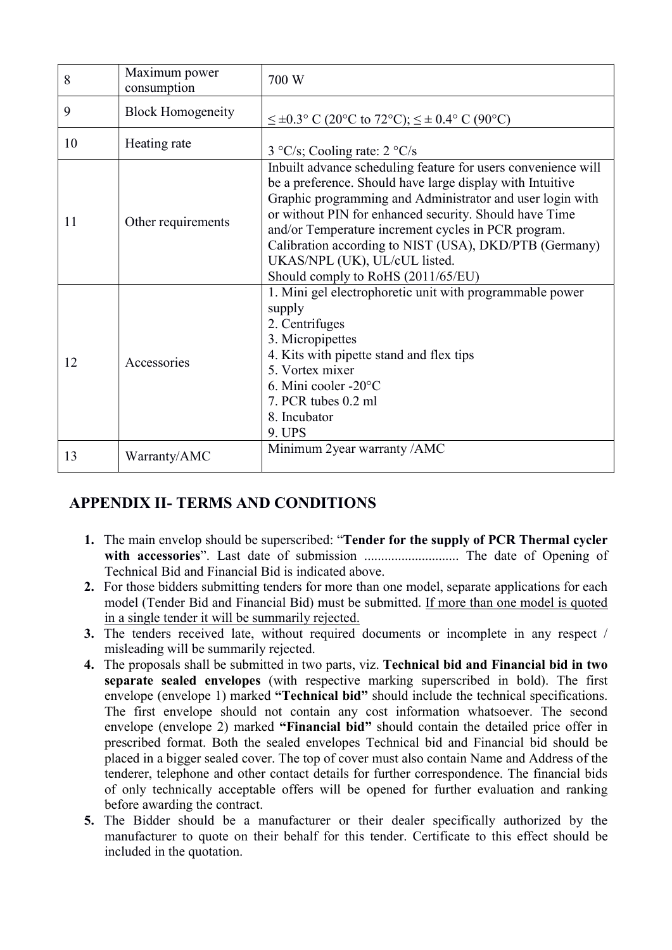| 8  | Maximum power<br>consumption | 700 W                                                                                                                                                                                                                                                                                                                                                                                                                                     |
|----|------------------------------|-------------------------------------------------------------------------------------------------------------------------------------------------------------------------------------------------------------------------------------------------------------------------------------------------------------------------------------------------------------------------------------------------------------------------------------------|
| 9  | <b>Block Homogeneity</b>     | $\leq \pm 0.3$ ° C (20°C to 72°C); $\leq \pm 0.4$ ° C (90°C)                                                                                                                                                                                                                                                                                                                                                                              |
| 10 | Heating rate                 | $3 °C/s$ ; Cooling rate: $2 °C/s$                                                                                                                                                                                                                                                                                                                                                                                                         |
| 11 | Other requirements           | Inbuilt advance scheduling feature for users convenience will<br>be a preference. Should have large display with Intuitive<br>Graphic programming and Administrator and user login with<br>or without PIN for enhanced security. Should have Time<br>and/or Temperature increment cycles in PCR program.<br>Calibration according to NIST (USA), DKD/PTB (Germany)<br>UKAS/NPL (UK), UL/cUL listed.<br>Should comply to RoHS (2011/65/EU) |
| 12 | Accessories                  | 1. Mini gel electrophoretic unit with programmable power<br>supply<br>2. Centrifuges<br>3. Micropipettes<br>4. Kits with pipette stand and flex tips<br>5. Vortex mixer<br>6. Mini cooler -20°C<br>7. PCR tubes 0.2 ml<br>8. Incubator<br>9. UPS                                                                                                                                                                                          |
| 13 | Warranty/AMC                 | Minimum 2year warranty / AMC                                                                                                                                                                                                                                                                                                                                                                                                              |

# APPENDIX II- TERMS AND CONDITIONS

- 1. The main envelop should be superscribed: "Tender for the supply of PCR Thermal cycler with accessories". Last date of submission ............................ The date of Opening of Technical Bid and Financial Bid is indicated above.
- 2. For those bidders submitting tenders for more than one model, separate applications for each model (Tender Bid and Financial Bid) must be submitted. If more than one model is quoted in a single tender it will be summarily rejected.
- 3. The tenders received late, without required documents or incomplete in any respect / misleading will be summarily rejected.
- 4. The proposals shall be submitted in two parts, viz. Technical bid and Financial bid in two separate sealed envelopes (with respective marking superscribed in bold). The first envelope (envelope 1) marked "Technical bid" should include the technical specifications. The first envelope should not contain any cost information whatsoever. The second envelope (envelope 2) marked "Financial bid" should contain the detailed price offer in prescribed format. Both the sealed envelopes Technical bid and Financial bid should be placed in a bigger sealed cover. The top of cover must also contain Name and Address of the tenderer, telephone and other contact details for further correspondence. The financial bids of only technically acceptable offers will be opened for further evaluation and ranking before awarding the contract.
- 5. The Bidder should be a manufacturer or their dealer specifically authorized by the manufacturer to quote on their behalf for this tender. Certificate to this effect should be included in the quotation.